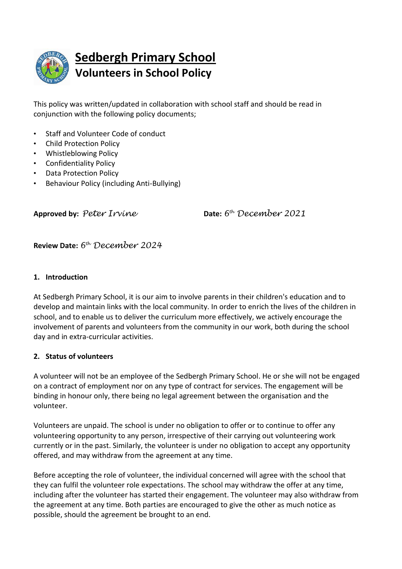

This policy was written/updated in collaboration with school staff and should be read in conjunction with the following policy documents;

- Staff and Volunteer Code of conduct
- Child Protection Policy
- Whistleblowing Policy
- Confidentiality Policy
- Data Protection Policy
- Behaviour Policy (including Anti-Bullying)

**Approved by:** *Peter Irvine* **Date:** *6*

*th December 2021*

**Review Date:** *6 th December 2024*

## **1. Introduction**

At Sedbergh Primary School, it is our aim to involve parents in their children's education and to develop and maintain links with the local community. In order to enrich the lives of the children in school, and to enable us to deliver the curriculum more effectively, we actively encourage the involvement of parents and volunteers from the community in our work, both during the school day and in extra-curricular activities.

## **2. Status of volunteers**

A volunteer will not be an employee of the Sedbergh Primary School. He or she will not be engaged on a contract of employment nor on any type of contract for services. The engagement will be binding in honour only, there being no legal agreement between the organisation and the volunteer.

Volunteers are unpaid. The school is under no obligation to offer or to continue to offer any volunteering opportunity to any person, irrespective of their carrying out volunteering work currently or in the past. Similarly, the volunteer is under no obligation to accept any opportunity offered, and may withdraw from the agreement at any time.

Before accepting the role of volunteer, the individual concerned will agree with the school that they can fulfil the volunteer role expectations. The school may withdraw the offer at any time, including after the volunteer has started their engagement. The volunteer may also withdraw from the agreement at any time. Both parties are encouraged to give the other as much notice as possible, should the agreement be brought to an end.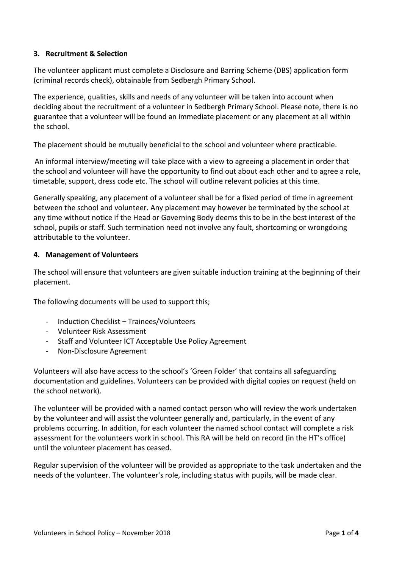#### **3. Recruitment & Selection**

The volunteer applicant must complete a Disclosure and Barring Scheme (DBS) application form (criminal records check), obtainable from Sedbergh Primary School.

The experience, qualities, skills and needs of any volunteer will be taken into account when deciding about the recruitment of a volunteer in Sedbergh Primary School. Please note, there is no guarantee that a volunteer will be found an immediate placement or any placement at all within the school.

The placement should be mutually beneficial to the school and volunteer where practicable.

An informal interview/meeting will take place with a view to agreeing a placement in order that the school and volunteer will have the opportunity to find out about each other and to agree a role, timetable, support, dress code etc. The school will outline relevant policies at this time.

Generally speaking, any placement of a volunteer shall be for a fixed period of time in agreement between the school and volunteer. Any placement may however be terminated by the school at any time without notice if the Head or Governing Body deems this to be in the best interest of the school, pupils or staff. Such termination need not involve any fault, shortcoming or wrongdoing attributable to the volunteer.

#### **4. Management of Volunteers**

The school will ensure that volunteers are given suitable induction training at the beginning of their placement.

The following documents will be used to support this;

- Induction Checklist Trainees/Volunteers
- Volunteer Risk Assessment
- Staff and Volunteer ICT Acceptable Use Policy Agreement
- Non-Disclosure Agreement

Volunteers will also have access to the school's 'Green Folder' that contains all safeguarding documentation and guidelines. Volunteers can be provided with digital copies on request (held on the school network).

The volunteer will be provided with a named contact person who will review the work undertaken by the volunteer and will assist the volunteer generally and, particularly, in the event of any problems occurring. In addition, for each volunteer the named school contact will complete a risk assessment for the volunteers work in school. This RA will be held on record (in the HT's office) until the volunteer placement has ceased.

Regular supervision of the volunteer will be provided as appropriate to the task undertaken and the needs of the volunteer. The volunteer's role, including status with pupils, will be made clear.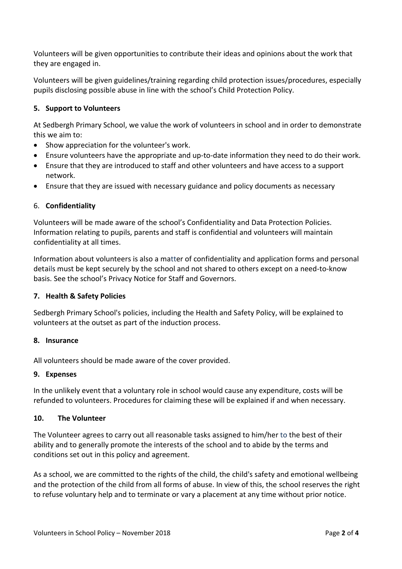Volunteers will be given opportunities to contribute their ideas and opinions about the work that they are engaged in.

Volunteers will be given guidelines/training regarding child protection issues/procedures, especially pupils disclosing possible abuse in line with the school's Child Protection Policy.

# **5. Support to Volunteers**

At Sedbergh Primary School, we value the work of volunteers in school and in order to demonstrate this we aim to:

- Show appreciation for the volunteer's work.
- Ensure volunteers have the appropriate and up-to-date information they need to do their work.
- Ensure that they are introduced to staff and other volunteers and have access to a support network.
- Ensure that they are issued with necessary guidance and policy documents as necessary

## 6. **Confidentiality**

Volunteers will be made aware of the school's Confidentiality and Data Protection Policies. Information relating to pupils, parents and staff is confidential and volunteers will maintain confidentiality at all times.

Information about volunteers is also a matter of confidentiality and application forms and personal details must be kept securely by the school and not shared to others except on a need-to-know basis. See the school's Privacy Notice for Staff and Governors.

## **7. Health & Safety Policies**

Sedbergh Primary School's policies, including the Health and Safety Policy, will be explained to volunteers at the outset as part of the induction process.

## **8. Insurance**

All volunteers should be made aware of the cover provided.

#### **9. Expenses**

In the unlikely event that a voluntary role in school would cause any expenditure, costs will be refunded to volunteers. Procedures for claiming these will be explained if and when necessary.

## **10. The Volunteer**

The Volunteer agrees to carry out all reasonable tasks assigned to him/her to the best of their ability and to generally promote the interests of the school and to abide by the terms and conditions set out in this policy and agreement.

As a school, we are committed to the rights of the child, the child's safety and emotional wellbeing and the protection of the child from all forms of abuse. In view of this, the school reserves the right to refuse voluntary help and to terminate or vary a placement at any time without prior notice.